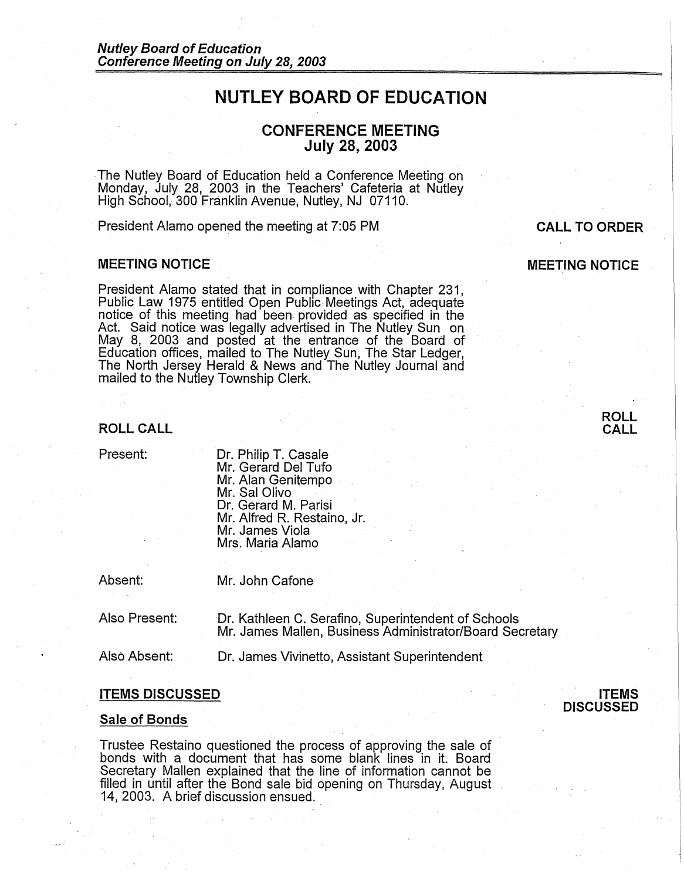# **NUTLEY BOARD OF EDUCATION**

# **CONFERENCE MEETING July 28, 2003**

The Nutley Board of Education held a Conference Meeting on Monday, July 28, 2003 in the Teachers' Cafeteria at Nutley High School, 300 Franklin Avenue, Nutley, NJ 07110.

President Alamo opened the meeting at 7:05 PM

### **MEETING NOTICE**

President Alamo stated that in compliance with Chapter 231, Public Law 1975 entitled Open Public Meetings Act, adequate notice of this meeting had been provided as specified in the Act. Said notice was legally advertised in The Nutley Sun on May 8, 2003 and posted at the entrance of the Board of Education offices, mailed to The Nutley Sun, The Star Ledger, The North Jersey Herald & News and The Nutley Journal and mailed to the Nutley Township Clerk.

**MEETING NOTICE** 

# **ROLL CALL**

Present:

Dr. Philip T. Casale Mr. Gerard Del Tufo Mr. Alan Genitempo Mr. Sal Olivo Dr. Gerard M. Parisi Mr. Alfred R. Restaino, Jr. Mr. James Viola Mrs. Maria Alamo

Absent:

Mr. John Cafone

Also Present:

Or. Kathleen C. Serafino, Superintendent of Schools Mr. James Mallen, Business Administrator/Board Secretary

Also Absent: Dr. James Vivinetto, Assistant Superintendent

# **ITEMS DISCUSSED**

#### **Sale of Bonds**

Trustee Restaino questioned the process of approving the sale of bonds with a document that has some blank lines in it. Board Secretary Mallen explained that the line of information cannot be filled in until after the Bond sale bid opening on Thursday, August 14, 2003. A brief discussion ensued.





**CALL TO ORDER**